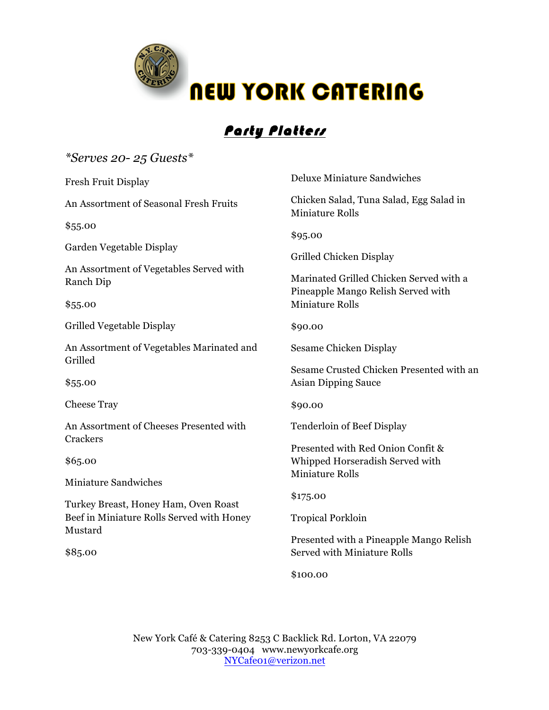

## Party Platters

## *\*Serves 20- 25 Guests\**

Fresh Fruit Display

An Assortment of Seasonal Fresh Fruits

\$55.00

Garden Vegetable Display

An Assortment of Vegetables Served with Ranch Dip

\$55.00

Grilled Vegetable Display

An Assortment of Vegetables Marinated and Grilled

\$55.00

Cheese Tray

An Assortment of Cheeses Presented with **Crackers** 

\$65.00

Miniature Sandwiches

Turkey Breast, Honey Ham, Oven Roast Beef in Miniature Rolls Served with Honey Mustard

\$85.00

Deluxe Miniature Sandwiches

Chicken Salad, Tuna Salad, Egg Salad in Miniature Rolls

\$95.00

Grilled Chicken Display

Marinated Grilled Chicken Served with a Pineapple Mango Relish Served with Miniature Rolls

\$90.00

Sesame Chicken Display

Sesame Crusted Chicken Presented with an Asian Dipping Sauce

\$90.00

Tenderloin of Beef Display

Presented with Red Onion Confit & Whipped Horseradish Served with Miniature Rolls

\$175.00

Tropical Porkloin

Presented with a Pineapple Mango Relish Served with Miniature Rolls

\$100.00

New York Café & Catering 8253 C Backlick Rd. Lorton, VA 22079 703-339-0404 www.newyorkcafe.org NYCafe01@verizon.net